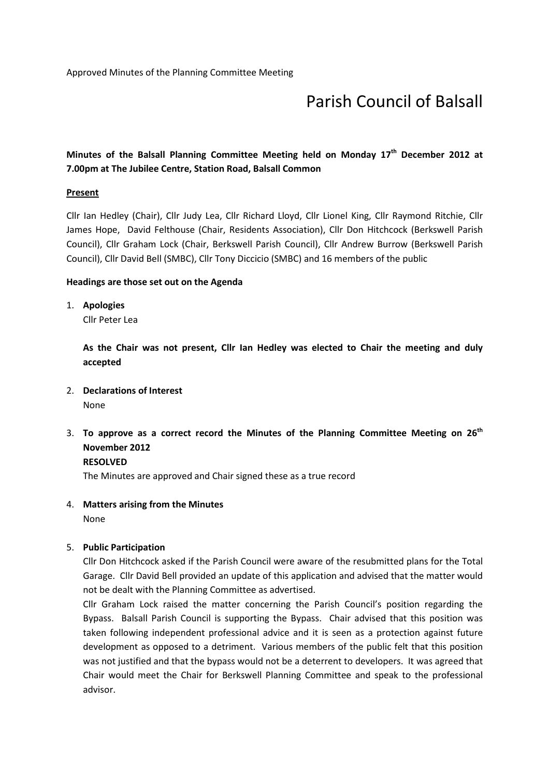# Parish Council of Balsall

# Minutes of the Balsall Planning Committee Meeting held on Mondav 17<sup>th</sup> December 2012 at 7.00pm at The Jubilee Centre, Station Road, Balsall Common

#### **Present**

Cllr Ian Hedley (Chair), Cllr Judy Lea, Cllr Richard Lloyd, Cllr Lionel King, Cllr Raymond Ritchie, Cllr James Hope, David Felthouse (Chair, Residents Association), Cllr Don Hitchcock (Berkswell Parish Council), Cllr Graham Lock (Chair, Berkswell Parish Council), Cllr Andrew Burrow (Berkswell Parish Council), Cllr David Bell (SMBC), Cllr Tony Diccicio (SMBC) and 16 members of the public

#### Headings are those set out on the Agenda

1. Apologies

Cllr Peter Lea

As the Chair was not present, Cllr Ian Hedley was elected to Chair the meeting and duly accepted

2. Declarations of Interest

None

3. To approve as a correct record the Minutes of the Planning Committee Meeting on  $26<sup>th</sup>$ November 2012

RESOLVED

The Minutes are approved and Chair signed these as a true record

4. Matters arising from the Minutes

None

#### 5. Public Participation

Cllr Don Hitchcock asked if the Parish Council were aware of the resubmitted plans for the Total Garage. Cllr David Bell provided an update of this application and advised that the matter would not be dealt with the Planning Committee as advertised.

Cllr Graham Lock raised the matter concerning the Parish Council's position regarding the Bypass. Balsall Parish Council is supporting the Bypass. Chair advised that this position was taken following independent professional advice and it is seen as a protection against future development as opposed to a detriment. Various members of the public felt that this position was not justified and that the bypass would not be a deterrent to developers. It was agreed that Chair would meet the Chair for Berkswell Planning Committee and speak to the professional advisor.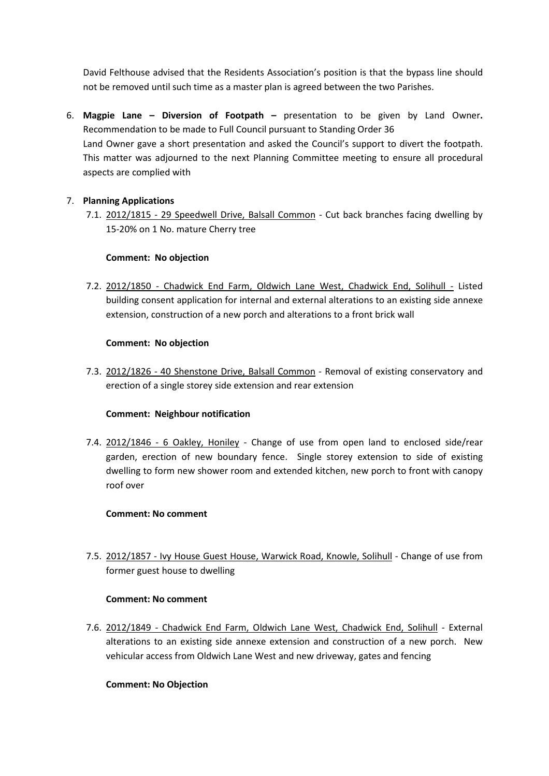David Felthouse advised that the Residents Association's position is that the bypass line should not be removed until such time as a master plan is agreed between the two Parishes.

6. Magpie Lane – Diversion of Footpath – presentation to be given by Land Owner. Recommendation to be made to Full Council pursuant to Standing Order 36 Land Owner gave a short presentation and asked the Council's support to divert the footpath. This matter was adjourned to the next Planning Committee meeting to ensure all procedural aspects are complied with

# 7. Planning Applications

7.1. 2012/1815 - 29 Speedwell Drive, Balsall Common - Cut back branches facing dwelling by 15-20% on 1 No. mature Cherry tree

#### Comment: No objection

7.2. 2012/1850 - Chadwick End Farm, Oldwich Lane West, Chadwick End, Solihull - Listed building consent application for internal and external alterations to an existing side annexe extension, construction of a new porch and alterations to a front brick wall

#### Comment: No objection

7.3. 2012/1826 - 40 Shenstone Drive, Balsall Common - Removal of existing conservatory and erection of a single storey side extension and rear extension

# Comment: Neighbour notification

7.4. 2012/1846 - 6 Oakley, Honiley - Change of use from open land to enclosed side/rear garden, erection of new boundary fence. Single storey extension to side of existing dwelling to form new shower room and extended kitchen, new porch to front with canopy roof over

#### Comment: No comment

7.5. 2012/1857 - Ivy House Guest House, Warwick Road, Knowle, Solihull - Change of use from former guest house to dwelling

#### Comment: No comment

7.6. 2012/1849 - Chadwick End Farm, Oldwich Lane West, Chadwick End, Solihull - External alterations to an existing side annexe extension and construction of a new porch. New vehicular access from Oldwich Lane West and new driveway, gates and fencing

# Comment: No Objection